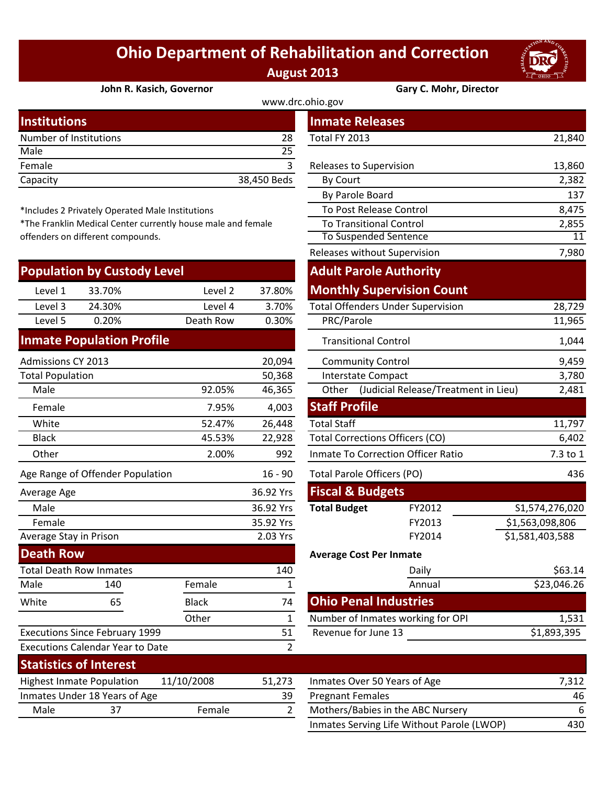## **Ohio Department of Rehabilitation and Correction August 2013**



**Gary C. Mohr, Director** 

| John R. Kasich, Governor |  |
|--------------------------|--|
|--------------------------|--|

| www.drc.ohio.gov |
|------------------|
|------------------|

|             | <b>Inmate Releases</b>  |        |
|-------------|-------------------------|--------|
| 28          | Total FY 2013           | 21,840 |
| 25          |                         |        |
|             | Releases to Supervision | 13,860 |
| 38,450 Beds | <b>By Court</b>         | 2,382  |
|             |                         |        |

\*Includes 2 Privately Operated Male Institutions

\*The Franklin Medical Center currently house male and female offenders on different compounds.

| <b>Population by Custody Level</b> |        |           |        |  |  |  |
|------------------------------------|--------|-----------|--------|--|--|--|
| Level 1                            | 33.70% | Level 2   | 37.80% |  |  |  |
| Level 3                            | 24.30% | Level 4   | 3.70%  |  |  |  |
| Level 5                            | 0.20%  | Death Row | 0.30%  |  |  |  |
| <b>Inmate Population Profile</b>   |        |           |        |  |  |  |
| Admissions CV 2013                 |        |           |        |  |  |  |

| <b>Admissions CY 2013</b> |                                         |              | 20,094    | <b>Community Control</b>                  |                                      |                 |  |
|---------------------------|-----------------------------------------|--------------|-----------|-------------------------------------------|--------------------------------------|-----------------|--|
| <b>Total Population</b>   |                                         |              | 50,368    | <b>Interstate Compact</b>                 |                                      | 3,780           |  |
| Male                      |                                         | 92.05%       | 46,365    | Other                                     | (Judicial Release/Treatment in Lieu) | 2,481           |  |
| Female                    |                                         | 7.95%        | 4,003     | <b>Staff Profile</b>                      |                                      |                 |  |
| White                     |                                         | 52.47%       | 26,448    | <b>Total Staff</b>                        |                                      | 11,797          |  |
| <b>Black</b>              |                                         | 45.53%       | 22,928    |                                           | Total Corrections Officers (CO)      |                 |  |
| Other                     |                                         | 2.00%        | 992       | <b>Inmate To Correction Officer Ratio</b> | 7.3 to 1                             |                 |  |
|                           | Age Range of Offender Population        |              | $16 - 90$ | <b>Total Parole Officers (PO)</b>         |                                      | 436             |  |
| Average Age               |                                         |              | 36.92 Yrs | <b>Fiscal &amp; Budgets</b>               |                                      |                 |  |
| Male                      |                                         |              | 36.92 Yrs | <b>Total Budget</b>                       | FY2012                               | S1,574,276,020  |  |
| Female                    |                                         |              | 35.92 Yrs |                                           | FY2013                               | \$1,563,098,806 |  |
| Average Stay in Prison    |                                         |              | 2.03 Yrs  | FY2014                                    |                                      | \$1,581,403,588 |  |
| <b>Death Row</b>          |                                         |              |           | <b>Average Cost Per Inmate</b>            |                                      |                 |  |
|                           | <b>Total Death Row Inmates</b>          |              | 140       | Daily                                     |                                      | \$63.14         |  |
| Male                      | 140                                     | Female       | 1         |                                           | Annual                               | \$23,046.26     |  |
| White                     | 65                                      | <b>Black</b> | 74        | <b>Ohio Penal Industries</b>              |                                      |                 |  |
|                           |                                         | Other        | 1         |                                           | Number of Inmates working for OPI    | 1,531           |  |
|                           | <b>Executions Since February 1999</b>   |              | 51        | Revenue for June 13                       |                                      | \$1,893,395     |  |
|                           | <b>Executions Calendar Year to Date</b> |              | 2         |                                           |                                      |                 |  |
|                           | Statictics of Interact                  |              |           |                                           |                                      |                 |  |

| <b>Statistics of Interest</b>    |                               |            |        |                              |
|----------------------------------|-------------------------------|------------|--------|------------------------------|
| <b>Highest Inmate Population</b> |                               | 11/10/2008 | 51.273 | Inmates Over 50 Years of Age |
|                                  | Inmates Under 18 Years of Age |            | 39     | <b>Pregnant Females</b>      |
| Male                             |                               | Female     |        | Mothers/Babies in the ABC N  |
|                                  |                               |            |        |                              |

| stitutions                                                |                               | <b>Inmate Releases</b>                   |                                            |                 |
|-----------------------------------------------------------|-------------------------------|------------------------------------------|--------------------------------------------|-----------------|
| mber of Institutions                                      | 28                            | Total FY 2013                            |                                            | 21,840          |
| le                                                        | 25                            |                                          |                                            |                 |
| nale                                                      | 3                             | Releases to Supervision                  |                                            | 13,860          |
| acity                                                     | 38,450 Beds                   | By Court                                 |                                            | 2,382           |
|                                                           |                               | By Parole Board                          |                                            | 137             |
| cludes 2 Privately Operated Male Institutions             |                               | To Post Release Control                  |                                            | 8,475           |
| e Franklin Medical Center currently house male and female |                               | <b>To Transitional Control</b>           |                                            | 2,855           |
| nders on different compounds.                             |                               | <b>To Suspended Sentence</b>             |                                            | 11              |
|                                                           |                               | Releases without Supervision             |                                            | 7,980           |
| pulation by Custody Level                                 | <b>Adult Parole Authority</b> |                                          |                                            |                 |
| 33.70%<br>Level 1<br>Level 2                              | 37.80%                        | <b>Monthly Supervision Count</b>         |                                            |                 |
| Level 3<br>24.30%<br>Level 4                              | 3.70%                         | <b>Total Offenders Under Supervision</b> |                                            | 28,729          |
| Level 5<br>0.20%<br>Death Row                             | 0.30%                         | PRC/Parole                               |                                            | 11,965          |
| nate Population Profile                                   |                               | <b>Transitional Control</b>              |                                            | 1,044           |
| nissions CY 2013                                          | 20,094                        | <b>Community Control</b>                 |                                            | 9,459           |
| al Population                                             | 50,368                        | Interstate Compact                       |                                            | 3,780           |
| Male<br>92.05%                                            | 46,365                        |                                          | Other (Judicial Release/Treatment in Lieu) | 2,481           |
| 7.95%<br>Female                                           | 4,003                         | <b>Staff Profile</b>                     |                                            |                 |
| White<br>52.47%                                           | 26,448                        | <b>Total Staff</b>                       |                                            | 11,797          |
| <b>Black</b><br>45.53%                                    | 22,928                        | <b>Total Corrections Officers (CO)</b>   |                                            | 6,402           |
| <b>Other</b><br>2.00%                                     | 992                           | Inmate To Correction Officer Ratio       |                                            | 7.3 to 1        |
| Range of Offender Population                              | $16 - 90$                     | <b>Total Parole Officers (PO)</b>        |                                            | 436             |
| erage Age                                                 | 36.92 Yrs                     | <b>Fiscal &amp; Budgets</b>              |                                            |                 |
| Male                                                      | 36.92 Yrs                     | <b>Total Budget</b>                      | FY2012                                     | S1,574,276,020  |
| Female                                                    | 35.92 Yrs                     |                                          | FY2013                                     | \$1,563,098,806 |
| rage Stay in Prison                                       | 2.03 Yrs                      |                                          | FY2014                                     | \$1,581,403,588 |
| ath Row                                                   |                               | <b>Average Cost Per Inmate</b>           |                                            |                 |
| al Death Row Inmates                                      | 140                           |                                          | Daily                                      | \$63.14         |
| le<br>Female<br>140                                       | $\mathbf 1$                   |                                          | Annual                                     | \$23,046.26     |
| 65<br><b>Black</b><br>ite                                 | 74                            | <b>Ohio Penal Industries</b>             |                                            |                 |
| Other                                                     | $\mathbf{1}$                  | Number of Inmates working for OPI        |                                            | 1,531           |
| cutions Since February 1999                               | 51                            | Revenue for June 13                      |                                            | \$1,893,395     |
| cutions Calendar Year to Date                             | $\overline{2}$                |                                          |                                            |                 |

| SIALISLIUS UI IIILEI ESL         |                               |            |        |                                            |       |
|----------------------------------|-------------------------------|------------|--------|--------------------------------------------|-------|
| <b>Highest Inmate Population</b> |                               | 11/10/2008 | 51.273 | Inmates Over 50 Years of Age               | 7,312 |
|                                  | Inmates Under 18 Years of Age |            | 39     | <b>Pregnant Females</b>                    | 46    |
| Male                             | 37                            | Female     |        | Mothers/Babies in the ABC Nursery          | 6.    |
|                                  |                               |            |        | Inmates Serving Life Without Parole (LWOP) | 430   |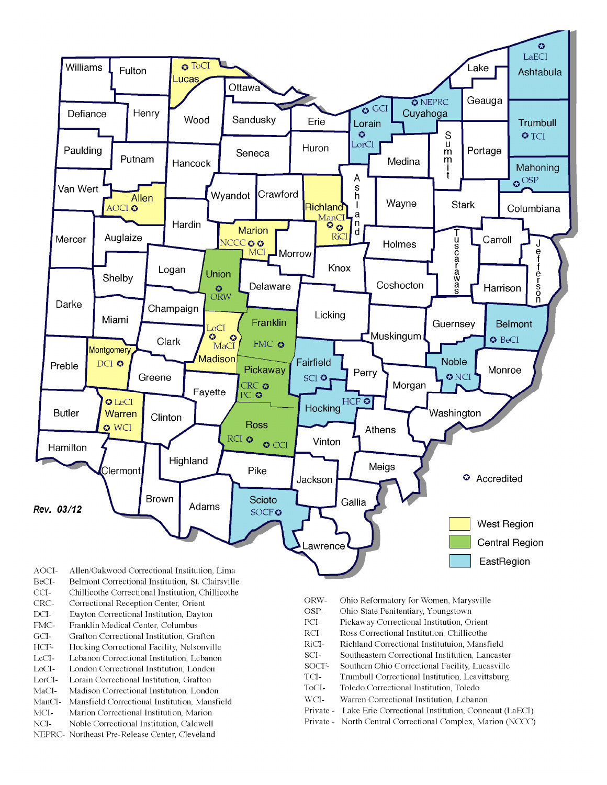

- BeCI-Belmont Correctional Institution, St. Clairsville
- $CCI-$ Chillicothe Correctional Institution, Chillicothe
- Correctional Reception Center, Orient CRC-
- $DCI-$ Dayton Correctional Institution, Dayton
- FMC-Franklin Medical Center, Columbus
- $\rm{GCI}\mbox{-}$ Grafton Correctional Institution, Grafton
- HCF-Hocking Correctional Facility, Nelsonville
- LeCI-Lebanon Correctional Institution, Lebanon
- LoCI-London Correctional Institution. London
- $\operatorname{LorCl-}$ Lorain Correctional Institution, Grafton
- $MaCI-$ Madison Correctional Institution, London
- ManCI-Mansfield Correctional Institution, Mansfield MCI-Marion Correctional Institution, Marion
- Noble Correctional Institution, Caldwell
- NCI-NEPRC- Northeast Pre-Release Center, Cleveland
- ORW-Ohio Reformatory for Women, Marysville
- OSP-Ohio State Penitentiary, Youngstown
- PCI-Pickaway Correctional Institution, Orient
- $\rm RCI-$ Ross Correctional Institution, Chillicothe
- RiCI-Richland Correctional Institutuion, Mansfield
- SCI-Southeastern Correctional Institution, Lancaster
- SOCF-Southern Ohio Correctional Facility, Lucasville
- TCI-Trumbull Correctional Institution, Leavittsburg
- ToCI-Toledo Correctional Institution, Toledo
- $WCI-$ Warren Correctional Institution, Lebanon
- Private Lake Erie Correctional Institution, Conneaut (LaECI)
- Private North Central Correctional Complex, Marion (NCCC)